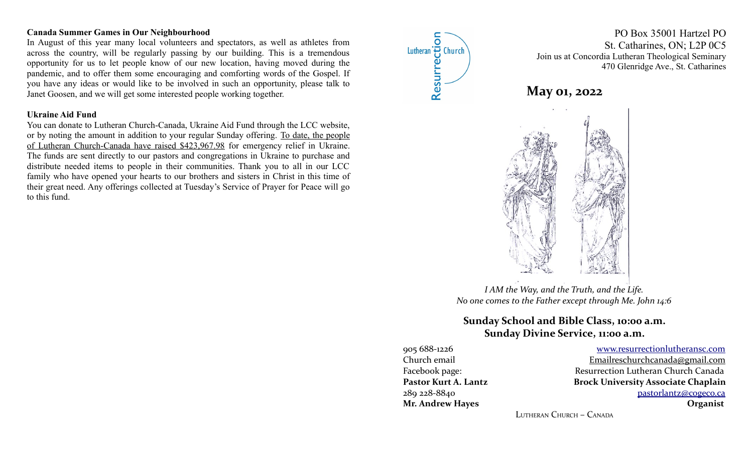#### **Canada Summer Games in Our Neighbourhood**

In August of this year many local volunteers and spectators, as well as athletes from across the country, will be regularly passing by our building. This is a tremendous opportunity for us to let people know of our new location, having moved during the pandemic, and to offer them some encouraging and comforting words of the Gospel. If you have any ideas or would like to be involved in such an opportunity, please talk to Janet Goosen, and we will get some interested people working together.

#### **Ukraine Aid Fund**

You can donate to Lutheran Church-Canada, Ukraine Aid Fund through the LCC website, or by noting the amount in addition to your regular Sunday offering. To date, the people of Lutheran Church-Canada have raised \$423,967.98 for emergency relief in Ukraine. The funds are sent directly to our pastors and congregations in Ukraine to purchase and distribute needed items to people in their communities. Thank you to all in our LCC family who have opened your hearts to our brothers and sisters in Christ in this time of their great need. Any offerings collected at Tuesday's Service of Prayer for Peace will go to this fund.



PO Box 35001 Hartzel PO St. Catharines, ON; L2P 0C5 Join us at Concordia Lutheran Theological Seminary 470 Glenridge Ave., St. Catharines





*I AM the Way, and the Truth, and the Life. No one comes to the Father except through Me. John 14:6*

# **Sunday School and Bible Class, 10:00 a.m. Sunday Divine Service, 11:00 a.m.**

905 688-1226 [www.resurrectionl utherans c.c om](http://www.resurrectionlc.ca/) Church email  $\qquad \qquad$  Emailreschur chcanada@gmail.com Facebook page: Resurrection Lutheran Church Canada Pastor Kurt A. Lantz **Brock University Associate Chaplain** 289 228-8840 [pastorlantz@cogeco.ca](mailto:pastorlantz@cogeco.ca) **Mr. Andrew Hayes Organist**

LUTHERAN CHURCH – CANADA